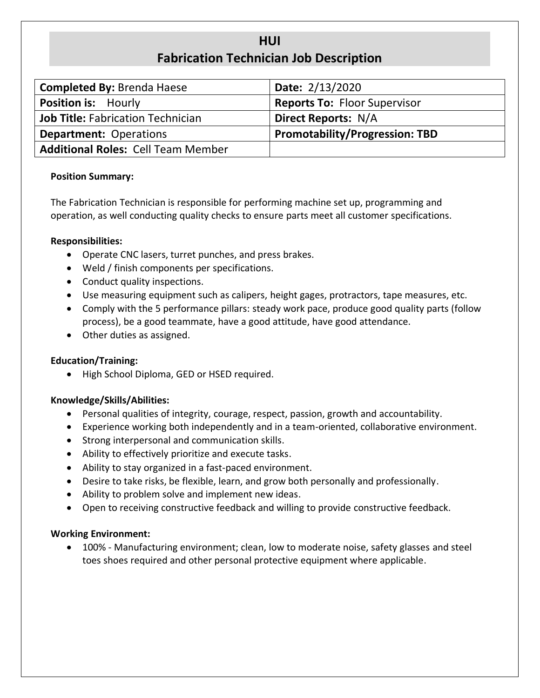# **HUI Fabrication Technician Job Description**

| <b>Completed By: Brenda Haese</b>         | Date: 2/13/2020                       |  |  |
|-------------------------------------------|---------------------------------------|--|--|
| <b>Position is: Hourly</b>                | <b>Reports To: Floor Supervisor</b>   |  |  |
| <b>Job Title: Fabrication Technician</b>  | <b>Direct Reports: N/A</b>            |  |  |
| <b>Department: Operations</b>             | <b>Promotability/Progression: TBD</b> |  |  |
| <b>Additional Roles: Cell Team Member</b> |                                       |  |  |

### **Position Summary:**

The Fabrication Technician is responsible for performing machine set up, programming and operation, as well conducting quality checks to ensure parts meet all customer specifications.

### **Responsibilities:**

- Operate CNC lasers, turret punches, and press brakes.
- Weld / finish components per specifications.
- Conduct quality inspections.
- Use measuring equipment such as calipers, height gages, protractors, tape measures, etc.
- Comply with the 5 performance pillars: steady work pace, produce good quality parts (follow process), be a good teammate, have a good attitude, have good attendance.
- Other duties as assigned.

# **Education/Training:**

• High School Diploma, GED or HSED required.

# **Knowledge/Skills/Abilities:**

- Personal qualities of integrity, courage, respect, passion, growth and accountability.
- Experience working both independently and in a team-oriented, collaborative environment.
- Strong interpersonal and communication skills.
- Ability to effectively prioritize and execute tasks.
- Ability to stay organized in a fast-paced environment.
- Desire to take risks, be flexible, learn, and grow both personally and professionally.
- Ability to problem solve and implement new ideas.
- Open to receiving constructive feedback and willing to provide constructive feedback.

# **Working Environment:**

• 100% - Manufacturing environment; clean, low to moderate noise, safety glasses and steel toes shoes required and other personal protective equipment where applicable.